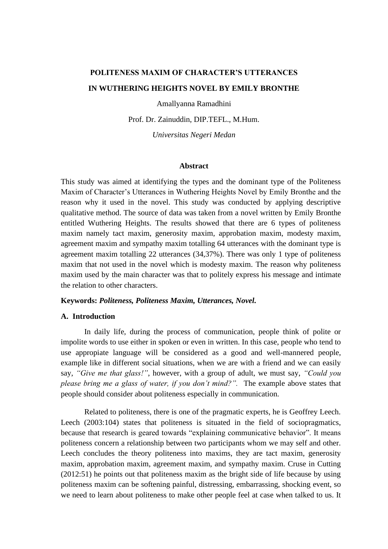# **POLITENESS MAXIM OF CHARACTER'S UTTERANCES IN WUTHERING HEIGHTS NOVEL BY EMILY BRONTHE**

Amallyanna Ramadhini

Prof. Dr. Zainuddin, DIP.TEFL., M.Hum.

*Universitas Negeri Medan*

#### **Abstract**

This study was aimed at identifying the types and the dominant type of the Politeness Maxim of Character's Utterances in Wuthering Heights Novel by Emily Bronthe and the reason why it used in the novel. This study was conducted by applying descriptive qualitative method. The source of data was taken from a novel written by Emily Bronthe entitled Wuthering Heights. The results showed that there are 6 types of politeness maxim namely tact maxim, generosity maxim, approbation maxim, modesty maxim, agreement maxim and sympathy maxim totalling 64 utterances with the dominant type is agreement maxim totalling 22 utterances (34,37%). There was only 1 type of politeness maxim that not used in the novel which is modesty maxim. The reason why politeness maxim used by the main character was that to politely express his message and intimate the relation to other characters.

#### **Keywords:** *Politeness, Politeness Maxim, Utterances, Novel.*

#### **A. Introduction**

In daily life, during the process of communication, people think of polite or impolite words to use either in spoken or even in written. In this case, people who tend to use appropiate language will be considered as a good and well-mannered people, example like in different social situations, when we are with a friend and we can easily say, *"Give me that glass!"*, however, with a group of adult, we must say, *"Could you please bring me a glass of water, if you don't mind?".* The example above states that people should consider about politeness especially in communication.

Related to politeness, there is one of the pragmatic experts, he is Geoffrey Leech. Leech (2003:104) states that politeness is situated in the field of sociopragmatics, because that research is geared towards "explaining communicative behavior". It means politeness concern a relationship between two participants whom we may self and other. Leech concludes the theory politeness into maxims, they are tact maxim, generosity maxim, approbation maxim, agreement maxim, and sympathy maxim. Cruse in Cutting (2012:51) he points out that politeness maxim as the bright side of life because by using politeness maxim can be softening painful, distressing, embarrassing, shocking event, so we need to learn about politeness to make other people feel at case when talked to us. It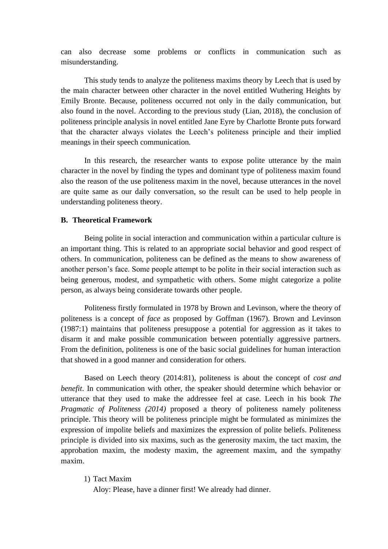can also decrease some problems or conflicts in communication such as misunderstanding.

This study tends to analyze the politeness maxims theory by Leech that is used by the main character between other character in the novel entitled Wuthering Heights by Emily Bronte. Because, politeness occurred not only in the daily communication, but also found in the novel. According to the previous study (Lian, 2018), the conclusion of politeness principle analysis in novel entitled Jane Eyre by Charlotte Bronte puts forward that the character always violates the Leech's politeness principle and their implied meanings in their speech communication.

In this research, the researcher wants to expose polite utterance by the main character in the novel by finding the types and dominant type of politeness maxim found also the reason of the use politeness maxim in the novel, because utterances in the novel are quite same as our daily conversation, so the result can be used to help people in understanding politeness theory.

### **B. Theoretical Framework**

Being polite in social interaction and communication within a particular culture is an important thing. This is related to an appropriate social behavior and good respect of others. In communication, politeness can be defined as the means to show awareness of another person's face. Some people attempt to be polite in their social interaction such as being generous, modest, and sympathetic with others. Some might categorize a polite person, as always being considerate towards other people.

Politeness firstly formulated in 1978 by Brown and Levinson, where the theory of politeness is a concept of *face* as proposed by Goffman (1967). Brown and Levinson (1987:1) maintains that politeness presuppose a potential for aggression as it takes to disarm it and make possible communication between potentially aggressive partners. From the definition, politeness is one of the basic social guidelines for human interaction that showed in a good manner and consideration for others.

Based on Leech theory (2014:81), politeness is about the concept of *cost and benefit*. In communication with other, the speaker should determine which behavior or utterance that they used to make the addressee feel at case. Leech in his book *The Pragmatic of Politeness (2014)* proposed a theory of politeness namely politeness principle. This theory will be politeness principle might be formulated as minimizes the expression of impolite beliefs and maximizes the expression of polite beliefs. Politeness principle is divided into six maxims, such as the generosity maxim, the tact maxim, the approbation maxim, the modesty maxim, the agreement maxim, and the sympathy maxim.

#### 1) Tact Maxim

Aloy: Please, have a dinner first! We already had dinner.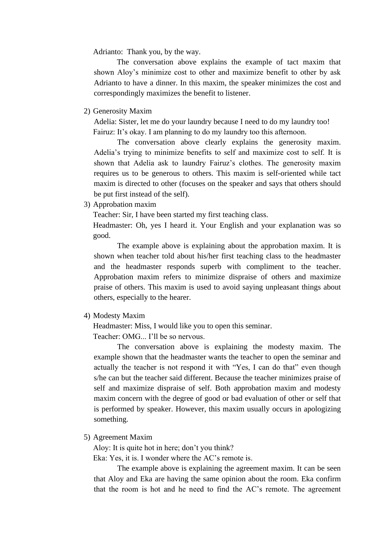Adrianto: Thank you, by the way.

The conversation above explains the example of tact maxim that shown Aloy's minimize cost to other and maximize benefit to other by ask Adrianto to have a dinner. In this maxim, the speaker minimizes the cost and correspondingly maximizes the benefit to listener.

2) Generosity Maxim

Adelia: Sister, let me do your laundry because I need to do my laundry too! Fairuz: It's okay. I am planning to do my laundry too this afternoon.

The conversation above clearly explains the generosity maxim. Adelia's trying to minimize benefits to self and maximize cost to self. It is shown that Adelia ask to laundry Fairuz's clothes. The generosity maxim requires us to be generous to others. This maxim is self-oriented while tact maxim is directed to other (focuses on the speaker and says that others should be put first instead of the self).

3) Approbation maxim

Teacher: Sir, I have been started my first teaching class.

Headmaster: Oh, yes I heard it. Your English and your explanation was so good.

The example above is explaining about the approbation maxim. It is shown when teacher told about his/her first teaching class to the headmaster and the headmaster responds superb with compliment to the teacher. Approbation maxim refers to minimize dispraise of others and maximize praise of others. This maxim is used to avoid saying unpleasant things about others, especially to the hearer.

4) Modesty Maxim

Headmaster: Miss, I would like you to open this seminar.

Teacher: OMG... I'll be so nervous.

The conversation above is explaining the modesty maxim. The example shown that the headmaster wants the teacher to open the seminar and actually the teacher is not respond it with "Yes, I can do that" even though s/he can but the teacher said different. Because the teacher minimizes praise of self and maximize dispraise of self. Both approbation maxim and modesty maxim concern with the degree of good or bad evaluation of other or self that is performed by speaker. However, this maxim usually occurs in apologizing something.

5) Agreement Maxim

Aloy: It is quite hot in here; don't you think?

Eka: Yes, it is. I wonder where the AC's remote is.

The example above is explaining the agreement maxim. It can be seen that Aloy and Eka are having the same opinion about the room. Eka confirm that the room is hot and he need to find the AC's remote. The agreement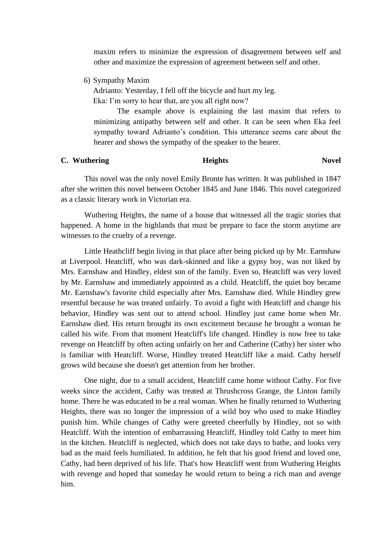maxim refers to minimize the expression of disagreement between self and other and maximize the expression of agreement between self and other*.*

6) Sympathy Maxim

Adrianto: Yesterday, I fell off the bicycle and hurt my leg.

Eka: I'm sorry to hear that, are you all right now?

The example above is explaining the last maxim that refers to minimizing antipathy between self and other. It can be seen when Eka feel sympathy toward Adrianto's condition. This utterance seems care about the hearer and shows the sympathy of the speaker to the hearer.

## **C.** Wuthering **Heights** Novel

This novel was the only novel Emily Bronte has written. It was published in 1847 after she written this novel between October 1845 and June 1846. This novel categorized as a classic literary work in Victorian era.

Wuthering Heights, the name of a house that witnessed all the tragic stories that happened. A home in the highlands that must be prepare to face the storm anytime are witnesses to the cruelty of a revenge.

Little Heathcliff begin living in that place after being picked up by Mr. Earnshaw at Liverpool. Heatcliff, who was dark-skinned and like a gypsy boy, was not liked by Mrs. Earnshaw and Hindley, eldest son of the family. Even so, Heatcliff was very loved by Mr. Earnshaw and immediately appointed as a child. Heatcliff, the quiet boy became Mr. Earnshaw's favorite child especially after Mrs. Earnshaw died. While Hindley grew resentful because he was treated unfairly. To avoid a fight with Heatcliff and change his behavior, Hindley was sent out to attend school. Hindley just came home when Mr. Earnshaw died. His return brought its own excitement because he brought a woman he called his wife. From that moment Heatcliff's life changed. Hindley is now free to take revenge on Heatcliff by often acting unfairly on her and Catherine (Cathy) her sister who is familiar with Heatcliff. Worse, Hindley treated Heatcliff like a maid. Cathy herself grows wild because she doesn't get attention from her brother.

One night, due to a small accident, Heatcliff came home without Cathy. For five weeks since the accident, Cathy was treated at Thrushcross Grange, the Linton family home. There he was educated to be a real woman. When he finally returned to Wuthering Heights, there was no longer the impression of a wild boy who used to make Hindley punish him. While changes of Cathy were greeted cheerfully by Hindley, not so with Heatcliff. With the intention of embarrassing Heatcliff, Hindley told Cathy to meet him in the kitchen. Heatcliff is neglected, which does not take days to bathe, and looks very bad as the maid feels humiliated. In addition, he felt that his good friend and loved one, Cathy, had been deprived of his life. That's how Heatcliff went from Wuthering Heights with revenge and hoped that someday he would return to being a rich man and avenge him.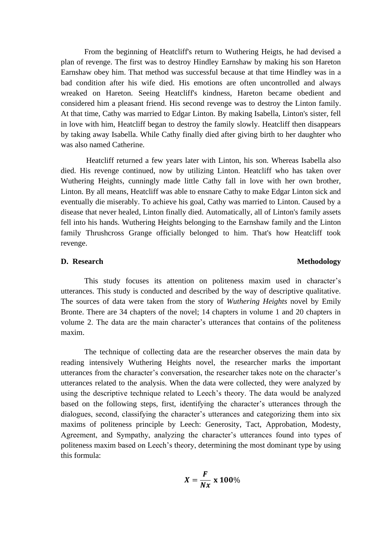From the beginning of Heatcliff's return to Wuthering Heigts, he had devised a plan of revenge. The first was to destroy Hindley Earnshaw by making his son Hareton Earnshaw obey him. That method was successful because at that time Hindley was in a bad condition after his wife died. His emotions are often uncontrolled and always wreaked on Hareton. Seeing Heatcliff's kindness, Hareton became obedient and considered him a pleasant friend. His second revenge was to destroy the Linton family. At that time, Cathy was married to Edgar Linton. By making Isabella, Linton's sister, fell in love with him, Heatcliff began to destroy the family slowly. Heatcliff then disappears by taking away Isabella. While Cathy finally died after giving birth to her daughter who was also named Catherine.

Heatcliff returned a few years later with Linton, his son. Whereas Isabella also died. His revenge continued, now by utilizing Linton. Heatcliff who has taken over Wuthering Heights, cunningly made little Cathy fall in love with her own brother, Linton. By all means, Heatcliff was able to ensnare Cathy to make Edgar Linton sick and eventually die miserably. To achieve his goal, Cathy was married to Linton. Caused by a disease that never healed, Linton finally died. Automatically, all of Linton's family assets fell into his hands. Wuthering Heights belonging to the Earnshaw family and the Linton family Thrushcross Grange officially belonged to him. That's how Heatcliff took revenge.

#### **D.** Research Methodology

This study focuses its attention on politeness maxim used in character's utterances. This study is conducted and described by the way of descriptive qualitative. The sources of data were taken from the story of *Wuthering Heights* novel by Emily Bronte. There are 34 chapters of the novel; 14 chapters in volume 1 and 20 chapters in volume 2. The data are the main character's utterances that contains of the politeness maxim.

The technique of collecting data are the researcher observes the main data by reading intensively Wuthering Heights novel, the researcher marks the important utterances from the character's conversation, the researcher takes note on the character's utterances related to the analysis. When the data were collected, they were analyzed by using the descriptive technique related to Leech's theory. The data would be analyzed based on the following steps, first, identifying the character's utterances through the dialogues, second, classifying the character's utterances and categorizing them into six maxims of politeness principle by Leech: Generosity, Tact, Approbation, Modesty, Agreement, and Sympathy, analyzing the character's utterances found into types of politeness maxim based on Leech's theory, determining the most dominant type by using this formula:

$$
X=\frac{F}{Nx}\ge 100\%
$$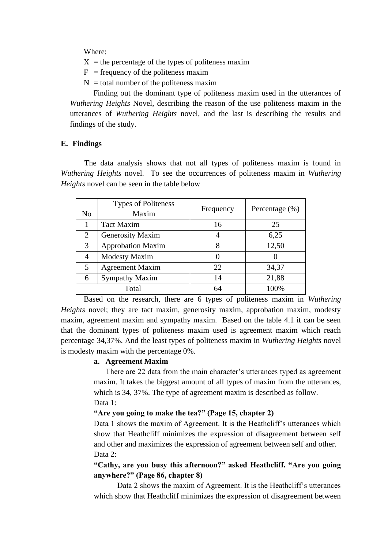Where:

- $X =$  the percentage of the types of politeness maxim
- $F = \text{frequency of the pointers maxim}$
- $N =$  total number of the politeness maxim

Finding out the dominant type of politeness maxim used in the utterances of *Wuthering Heights* Novel, describing the reason of the use politeness maxim in the utterances of *Wuthering Heights* novel, and the last is describing the results and findings of the study.

## **E. Findings**

The data analysis shows that not all types of politeness maxim is found in *Wuthering Heights* novel. To see the occurrences of politeness maxim in *Wuthering Heights* novel can be seen in the table below

| No    | <b>Types of Politeness</b><br>Maxim | Frequency | Percentage $(\%)$ |
|-------|-------------------------------------|-----------|-------------------|
|       | <b>Tact Maxim</b>                   | 16        | 25                |
| 2     | <b>Generosity Maxim</b>             | 4         | 6,25              |
| 3     | <b>Approbation Maxim</b>            | 8         | 12,50             |
| 4     | <b>Modesty Maxim</b>                |           |                   |
| 5     | <b>Agreement Maxim</b>              | 22        | 34,37             |
| 6     | <b>Sympathy Maxim</b>               | 14        | 21,88             |
| Total |                                     | 64        | 100%              |

Based on the research, there are 6 types of politeness maxim in *Wuthering Heights* novel; they are tact maxim, generosity maxim, approbation maxim, modesty maxim, agreement maxim and sympathy maxim. Based on the table 4.1 it can be seen that the dominant types of politeness maxim used is agreement maxim which reach percentage 34,37%. And the least types of politeness maxim in *Wuthering Heights* novel is modesty maxim with the percentage 0%.

#### **a. Agreement Maxim**

There are 22 data from the main character's utterances typed as agreement maxim. It takes the biggest amount of all types of maxim from the utterances, which is 34, 37%. The type of agreement maxim is described as follow. Data 1:

#### **"Are you going to make the tea?" (Page 15, chapter 2)**

Data 1 shows the maxim of Agreement. It is the Heathcliff's utterances which show that Heathcliff minimizes the expression of disagreement between self and other and maximizes the expression of agreement between self and other*.* Data 2:

## **"Cathy, are you busy this afternoon?" asked Heathcliff. "Are you going anywhere?" (Page 86, chapter 8)**

Data 2 shows the maxim of Agreement. It is the Heathcliff's utterances which show that Heathcliff minimizes the expression of disagreement between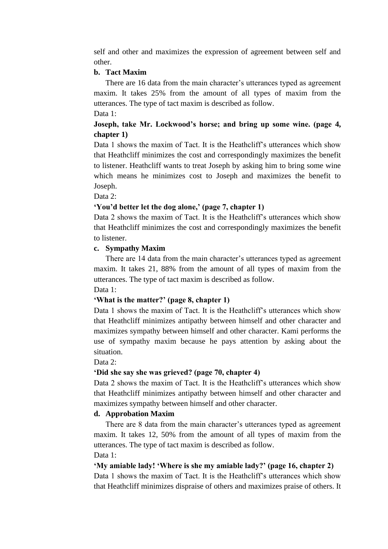self and other and maximizes the expression of agreement between self and other.

## **b. Tact Maxim**

There are 16 data from the main character's utterances typed as agreement maxim. It takes 25% from the amount of all types of maxim from the utterances. The type of tact maxim is described as follow. Data 1:

## **Joseph, take Mr. Lockwood's horse; and bring up some wine. (page 4, chapter 1)**

Data 1 shows the maxim of Tact. It is the Heathcliff's utterances which show that Heathcliff minimizes the cost and correspondingly maximizes the benefit to listener. Heathcliff wants to treat Joseph by asking him to bring some wine which means he minimizes cost to Joseph and maximizes the benefit to Joseph.

Data 2:

## **'You'd better let the dog alone,' (page 7, chapter 1)**

Data 2 shows the maxim of Tact. It is the Heathcliff's utterances which show that Heathcliff minimizes the cost and correspondingly maximizes the benefit to listener.

## **c. Sympathy Maxim**

There are 14 data from the main character's utterances typed as agreement maxim. It takes 21, 88% from the amount of all types of maxim from the utterances. The type of tact maxim is described as follow.

## Data 1:

## **'What is the matter?' (page 8, chapter 1)**

Data 1 shows the maxim of Tact. It is the Heathcliff's utterances which show that Heathcliff minimizes antipathy between himself and other character and maximizes sympathy between himself and other character. Kami performs the use of sympathy maxim because he pays attention by asking about the situation.

Data 2:

## **'Did she say she was grieved? (page 70, chapter 4)**

Data 2 shows the maxim of Tact. It is the Heathcliff's utterances which show that Heathcliff minimizes antipathy between himself and other character and maximizes sympathy between himself and other character.

## **d. Approbation Maxim**

There are 8 data from the main character's utterances typed as agreement maxim. It takes 12, 50% from the amount of all types of maxim from the utterances. The type of tact maxim is described as follow. Data 1:

# **'My amiable lady! 'Where is she my amiable lady?' (page 16, chapter 2)** Data 1 shows the maxim of Tact. It is the Heathcliff's utterances which show

that Heathcliff minimizes dispraise of others and maximizes praise of others. It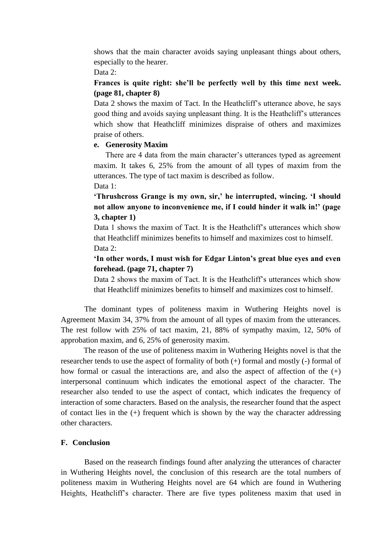shows that the main character avoids saying unpleasant things about others, especially to the hearer.

Data 2:

## **Frances is quite right: she'll be perfectly well by this time next week. (page 81, chapter 8)**

Data 2 shows the maxim of Tact. In the Heathcliff's utterance above, he says good thing and avoids saying unpleasant thing. It is the Heathcliff's utterances which show that Heathcliff minimizes dispraise of others and maximizes praise of others.

## **e. Generosity Maxim**

There are 4 data from the main character's utterances typed as agreement maxim. It takes 6, 25% from the amount of all types of maxim from the utterances. The type of tact maxim is described as follow.

Data 1:

**'Thrushcross Grange is my own, sir,' he interrupted, wincing. 'I should not allow anyone to inconvenience me, if I could hinder it walk in!' (page 3, chapter 1)**

Data 1 shows the maxim of Tact. It is the Heathcliff's utterances which show that Heathcliff minimizes benefits to himself and maximizes cost to himself. Data 2:

**'In other words, I must wish for Edgar Linton's great blue eyes and even forehead. (page 71, chapter 7)**

Data 2 shows the maxim of Tact. It is the Heathcliff's utterances which show that Heathcliff minimizes benefits to himself and maximizes cost to himself.

The dominant types of politeness maxim in Wuthering Heights novel is Agreement Maxim 34, 37% from the amount of all types of maxim from the utterances. The rest follow with 25% of tact maxim, 21, 88% of sympathy maxim, 12, 50% of approbation maxim, and 6, 25% of generosity maxim.

The reason of the use of politeness maxim in Wuthering Heights novel is that the researcher tends to use the aspect of formality of both (+) formal and mostly (-) formal of how formal or casual the interactions are, and also the aspect of affection of the  $(+)$ interpersonal continuum which indicates the emotional aspect of the character. The researcher also tended to use the aspect of contact, which indicates the frequency of interaction of some characters. Based on the analysis, the researcher found that the aspect of contact lies in the (+) frequent which is shown by the way the character addressing other characters.

## **F. Conclusion**

Based on the reasearch findings found after analyzing the utterances of character in Wuthering Heights novel, the conclusion of this research are the total numbers of politeness maxim in Wuthering Heights novel are 64 which are found in Wuthering Heights, Heathcliff's character. There are five types politeness maxim that used in